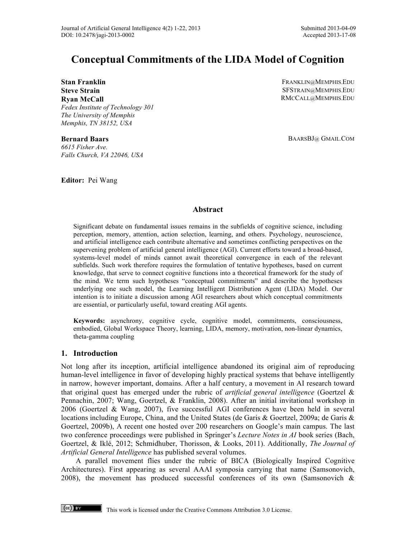# **Conceptual Commitments of the LIDA Model of Cognition**

**Stan Franklin** FRANKLIN@MEMPHIS.EDU **Steve Strain Ryan McCall** *Fedex Institute of Technology 301 The University of Memphis Memphis, TN 38152, USA*

#### **Bernard Baars**

*6615 Fisher Ave. Falls Church, VA 22046, USA*

**Editor:** Pei Wang

SFSTRAIN@MEMPHIS.EDU RMCCALL@MEMPHIS.EDU

BAARSBJ@ GMAIL.COM

# **Abstract**

Significant debate on fundamental issues remains in the subfields of cognitive science, including perception, memory, attention, action selection, learning, and others. Psychology, neuroscience, and artificial intelligence each contribute alternative and sometimes conflicting perspectives on the supervening problem of artificial general intelligence (AGI). Current efforts toward a broad-based, systems-level model of minds cannot await theoretical convergence in each of the relevant subfields. Such work therefore requires the formulation of tentative hypotheses, based on current knowledge, that serve to connect cognitive functions into a theoretical framework for the study of the mind. We term such hypotheses "conceptual commitments" and describe the hypotheses underlying one such model, the Learning Intelligent Distribution Agent (LIDA) Model. Our intention is to initiate a discussion among AGI researchers about which conceptual commitments are essential, or particularly useful, toward creating AGI agents.

**Keywords:** asynchrony, cognitive cycle, cognitive model, commitments, consciousness, embodied, Global Workspace Theory, learning, LIDA, memory, motivation, non-linear dynamics, theta-gamma coupling

# **1. Introduction**

Not long after its inception, artificial intelligence abandoned its original aim of reproducing human-level intelligence in favor of developing highly practical systems that behave intelligently in narrow, however important, domains. After a half century, a movement in AI research toward that original quest has emerged under the rubric of *artificial general intelligence* (Goertzel & Pennachin, 2007; Wang, Goertzel, & Franklin, 2008). After an initial invitational workshop in 2006 (Goertzel & Wang, 2007), five successful AGI conferences have been held in several locations including Europe, China, and the United States (de Garis & Goertzel, 2009a; de Garis & Goertzel, 2009b), A recent one hosted over 200 researchers on Google's main campus. The last two conference proceedings were published in Springer's *Lecture Notes in AI* book series (Bach, Goertzel, & Iklé, 2012; Schmidhuber, Thorisson, & Looks, 2011). Additionally, *The Journal of Artificial General Intelligence* has published several volumes.

A parallel movement flies under the rubric of BICA (Biologically Inspired Cognitive Architectures). First appearing as several AAAI symposia carrying that name (Samsonovich, 2008), the movement has produced successful conferences of its own (Samsonovich  $\&$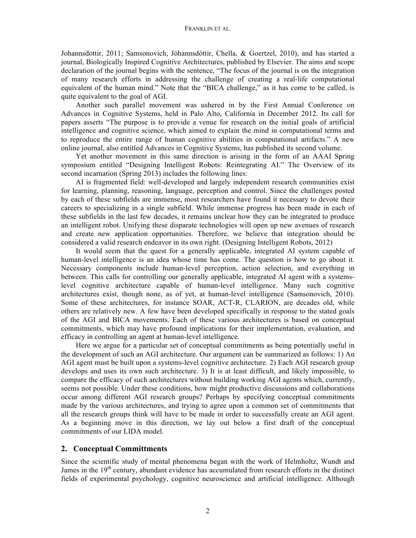Johannsdottir, 2011; Samsonovich, Jóhannsdóttir, Chella, & Goertzel, 2010), and has started a journal, Biologically Inspired Cognitive Architectures, published by Elsevier. The aims and scope declaration of the journal begins with the sentence, "The focus of the journal is on the integration of many research efforts in addressing the challenge of creating a real-life computational equivalent of the human mind." Note that the "BICA challenge." as it has come to be called, is quite equivalent to the goal of AGI.

Another such parallel movement was ushered in by the First Annual Conference on Advances in Cognitive Systems, held in Palo Alto, California in December 2012. Its call for papers asserts "The purpose is to provide a venue for research on the initial goals of artificial intelligence and cognitive science, which aimed to explain the mind in computational terms and to reproduce the entire range of human cognitive abilities in computational artifacts." A new online journal, also entitled Advances in Cognitive Systems, has published its second volume.

Yet another movement in this same direction is arising in the form of an AAAI Spring symposium entitled "Designing Intelligent Robots: Reintegrating AI." The Overview of its second incarnation (Spring 2013) includes the following lines:

AI is fragmented field: well-developed and largely independent research communities exist for learning, planning, reasoning, language, perception and control. Since the challenges posted by each of these subfields are immense, most researchers have found it necessary to devote their careers to specializing in a single subfield. While immense progress has been made in each of these subfields in the last few decades, it remains unclear how they can be integrated to produce an intelligent robot. Unifying these disparate technologies will open up new avenues of research and create new application opportunities. Therefore, we believe that integration should be considered a valid research endeavor in its own right. (Designing Intelligent Robots, 2012)

It would seem that the quest for a generally applicable, integrated AI system capable of human-level intelligence is an idea whose time has come. The question is how to go about it. Necessary components include human-level perception, action selection, and everything in between. This calls for controlling our generally applicable, integrated AI agent with a systemslevel cognitive architecture capable of human-level intelligence. Many such cognitive architectures exist, though none, as of yet, at human-level intelligence (Samsonovich, 2010). Some of these architectures, for instance SOAR, ACT-R, CLARION, are decades old, while others are relatively new. A few have been developed specifically in response to the stated goals of the AGI and BICA movements. Each of these various architectures is based on conceptual commitments, which may have profound implications for their implementation, evaluation, and efficacy in controlling an agent at human-level intelligence.

Here we argue for a particular set of conceptual commitments as being potentially useful in the development of such an AGI architecture. Our argument can be summarized as follows: 1) An AGI agent must be built upon a systems-level cognitive architecture. 2) Each AGI research group develops and uses its own such architecture. 3) It is at least difficult, and likely impossible, to compare the efficacy of such architectures without building working AGI agents which, currently, seems not possible. Under these conditions, how might productive discussions and collaborations occur among different AGI research groups? Perhaps by specifying conceptual commitments made by the various architectures, and trying to agree upon a common set of commitments that all the research groups think will have to be made in order to successfully create an AGI agent. As a beginning move in this direction, we lay out below a first draft of the conceptual commitments of our LIDA model.

# **2. Conceptual Committments**

Since the scientific study of mental phenomena began with the work of Helmholtz, Wundt and James in the  $19<sup>th</sup>$  century, abundant evidence has accumulated from research efforts in the distinct fields of experimental psychology, cognitive neuroscience and artificial intelligence. Although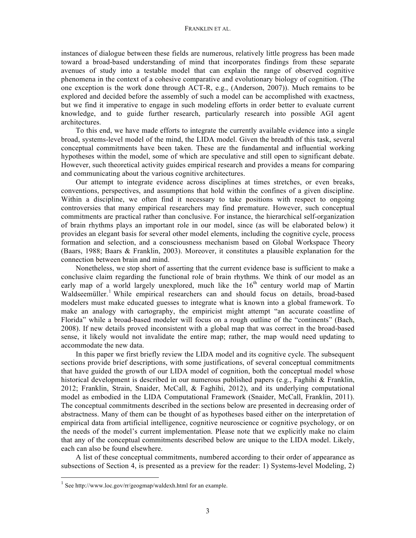instances of dialogue between these fields are numerous, relatively little progress has been made toward a broad-based understanding of mind that incorporates findings from these separate avenues of study into a testable model that can explain the range of observed cognitive phenomena in the context of a cohesive comparative and evolutionary biology of cognition. (The one exception is the work done through ACT-R, e.g., (Anderson, 2007)). Much remains to be explored and decided before the assembly of such a model can be accomplished with exactness, but we find it imperative to engage in such modeling efforts in order better to evaluate current knowledge, and to guide further research, particularly research into possible AGI agent architectures.

To this end, we have made efforts to integrate the currently available evidence into a single broad, systems-level model of the mind, the LIDA model. Given the breadth of this task, several conceptual commitments have been taken. These are the fundamental and influential working hypotheses within the model, some of which are speculative and still open to significant debate. However, such theoretical activity guides empirical research and provides a means for comparing and communicating about the various cognitive architectures.

Our attempt to integrate evidence across disciplines at times stretches, or even breaks, conventions, perspectives, and assumptions that hold within the confines of a given discipline. Within a discipline, we often find it necessary to take positions with respect to ongoing controversies that many empirical researchers may find premature. However, such conceptual commitments are practical rather than conclusive. For instance, the hierarchical self-organization of brain rhythms plays an important role in our model, since (as will be elaborated below) it provides an elegant basis for several other model elements, including the cognitive cycle, process formation and selection, and a consciousness mechanism based on Global Workspace Theory (Baars, 1988; Baars & Franklin, 2003). Moreover, it constitutes a plausible explanation for the connection between brain and mind.

Nonetheless, we stop short of asserting that the current evidence base is sufficient to make a conclusive claim regarding the functional role of brain rhythms. We think of our model as an early map of a world largely unexplored, much like the  $16<sup>th</sup>$  century world map of Martin Waldseemüller.<sup>1</sup> While empirical researchers can and should focus on details, broad-based modelers must make educated guesses to integrate what is known into a global framework. To make an analogy with cartography, the empiricist might attempt "an accurate coastline of Florida" while a broad-based modeler will focus on a rough outline of the "continents" (Bach, 2008). If new details proved inconsistent with a global map that was correct in the broad-based sense, it likely would not invalidate the entire map; rather, the map would need updating to accommodate the new data.

In this paper we first briefly review the LIDA model and its cognitive cycle. The subsequent sections provide brief descriptions, with some justifications, of several conceptual commitments that have guided the growth of our LIDA model of cognition, both the conceptual model whose historical development is described in our numerous published papers (e.g., Faghihi & Franklin, 2012; Franklin, Strain, Snaider, McCall, & Faghihi, 2012), and its underlying computational model as embodied in the LIDA Computational Framework (Snaider, McCall, Franklin, 2011). The conceptual commitments described in the sections below are presented in decreasing order of abstractness. Many of them can be thought of as hypotheses based either on the interpretation of empirical data from artificial intelligence, cognitive neuroscience or cognitive psychology, or on the needs of the model's current implementation. Please note that we explicitly make no claim that any of the conceptual commitments described below are unique to the LIDA model. Likely, each can also be found elsewhere.

A list of these conceptual commitments, numbered according to their order of appearance as subsections of Section 4, is presented as a preview for the reader: 1) Systems-level Modeling, 2)

<sup>&</sup>lt;sup>1</sup> See http://www.loc.gov/rr/geogmap/waldexh.html for an example.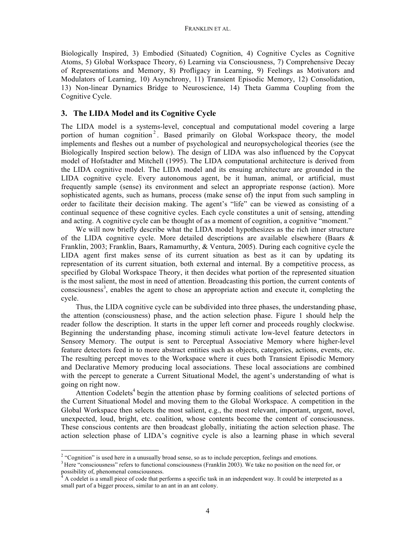Biologically Inspired, 3) Embodied (Situated) Cognition, 4) Cognitive Cycles as Cognitive Atoms, 5) Global Workspace Theory, 6) Learning via Consciousness, 7) Comprehensive Decay of Representations and Memory, 8) Profligacy in Learning, 9) Feelings as Motivators and Modulators of Learning, 10) Asynchrony, 11) Transient Episodic Memory, 12) Consolidation, 13) Non-linear Dynamics Bridge to Neuroscience, 14) Theta Gamma Coupling from the Cognitive Cycle.

# **3. The LIDA Model and its Cognitive Cycle**

The LIDA model is a systems-level, conceptual and computational model covering a large portion of human cognition<sup>2</sup>. Based primarily on Global Workspace theory, the model implements and fleshes out a number of psychological and neuropsychological theories (see the Biologically Inspired section below). The design of LIDA was also influenced by the Copycat model of Hofstadter and Mitchell (1995). The LIDA computational architecture is derived from the LIDA cognitive model. The LIDA model and its ensuing architecture are grounded in the LIDA cognitive cycle. Every autonomous agent, be it human, animal, or artificial, must frequently sample (sense) its environment and select an appropriate response (action). More sophisticated agents, such as humans, process (make sense of) the input from such sampling in order to facilitate their decision making. The agent's "life" can be viewed as consisting of a continual sequence of these cognitive cycles. Each cycle constitutes a unit of sensing, attending and acting. A cognitive cycle can be thought of as a moment of cognition, a cognitive "moment."

We will now briefly describe what the LIDA model hypothesizes as the rich inner structure of the LIDA cognitive cycle. More detailed descriptions are available elsewhere (Baars  $\&$ Franklin, 2003; Franklin, Baars, Ramamurthy, & Ventura, 2005). During each cognitive cycle the LIDA agent first makes sense of its current situation as best as it can by updating its representation of its current situation, both external and internal. By a competitive process, as specified by Global Workspace Theory, it then decides what portion of the represented situation is the most salient, the most in need of attention. Broadcasting this portion, the current contents of consciousness<sup>3</sup>, enables the agent to chose an appropriate action and execute it, completing the cycle.

Thus, the LIDA cognitive cycle can be subdivided into three phases, the understanding phase, the attention (consciousness) phase, and the action selection phase. Figure 1 should help the reader follow the description. It starts in the upper left corner and proceeds roughly clockwise. Beginning the understanding phase, incoming stimuli activate low-level feature detectors in Sensory Memory. The output is sent to Perceptual Associative Memory where higher-level feature detectors feed in to more abstract entities such as objects, categories, actions, events, etc. The resulting percept moves to the Workspace where it cues both Transient Episodic Memory and Declarative Memory producing local associations. These local associations are combined with the percept to generate a Current Situational Model, the agent's understanding of what is going on right now.

Attention Codelets<sup>4</sup> begin the attention phase by forming coalitions of selected portions of the Current Situational Model and moving them to the Global Workspace. A competition in the Global Workspace then selects the most salient, e.g., the most relevant, important, urgent, novel, unexpected, loud, bright, etc. coalition, whose contents become the content of consciousness. These conscious contents are then broadcast globally, initiating the action selection phase. The action selection phase of LIDA's cognitive cycle is also a learning phase in which several

<sup>&</sup>lt;sup>2</sup> "Cognition" is used here in a unusually broad sense, so as to include perception, feelings and emotions.  $3$  Here "consciousness" refers to functional consciousness (Franklin 2003). We take no position on the need for

possibility of, phenomenal consciousness.

<sup>4</sup> A codelet is a small piece of code that performs a specific task in an independent way. It could be interpreted as a small part of a bigger process, similar to an ant in an ant colony.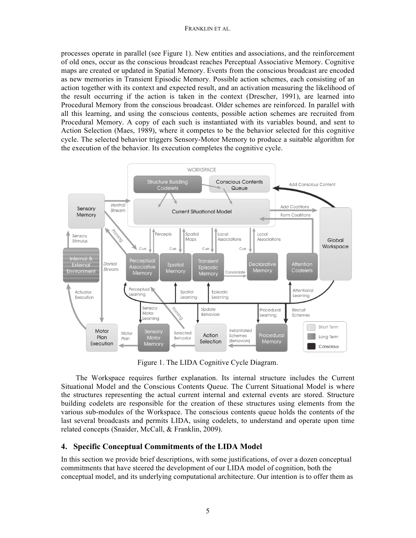processes operate in parallel (see Figure 1). New entities and associations, and the reinforcement of old ones, occur as the conscious broadcast reaches Perceptual Associative Memory. Cognitive maps are created or updated in Spatial Memory. Events from the conscious broadcast are encoded as new memories in Transient Episodic Memory. Possible action schemes, each consisting of an action together with its context and expected result, and an activation measuring the likelihood of the result occurring if the action is taken in the context (Drescher, 1991), are learned into Procedural Memory from the conscious broadcast. Older schemes are reinforced. In parallel with all this learning, and using the conscious contents, possible action schemes are recruited from Procedural Memory. A copy of each such is instantiated with its variables bound, and sent to Action Selection (Maes, 1989), where it competes to be the behavior selected for this cognitive cycle. The selected behavior triggers Sensory-Motor Memory to produce a suitable algorithm for the execution of the behavior. Its execution completes the cognitive cycle.



Figure 1. The LIDA Cognitive Cycle Diagram.

The Workspace requires further explanation. Its internal structure includes the Current Situational Model and the Conscious Contents Queue. The Current Situational Model is where the structures representing the actual current internal and external events are stored. Structure building codelets are responsible for the creation of these structures using elements from the various sub-modules of the Workspace. The conscious contents queue holds the contents of the last several broadcasts and permits LIDA, using codelets, to understand and operate upon time related concepts (Snaider, McCall, & Franklin, 2009).

# **4. Specific Conceptual Commitments of the LIDA Model**

In this section we provide brief descriptions, with some justifications, of over a dozen conceptual commitments that have steered the development of our LIDA model of cognition, both the conceptual model, and its underlying computational architecture. Our intention is to offer them as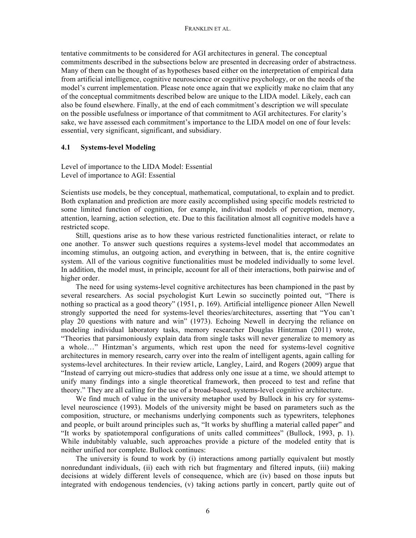tentative commitments to be considered for AGI architectures in general. The conceptual commitments described in the subsections below are presented in decreasing order of abstractness. Many of them can be thought of as hypotheses based either on the interpretation of empirical data from artificial intelligence, cognitive neuroscience or cognitive psychology, or on the needs of the model's current implementation. Please note once again that we explicitly make no claim that any of the conceptual commitments described below are unique to the LIDA model. Likely, each can also be found elsewhere. Finally, at the end of each commitment's description we will speculate on the possible usefulness or importance of that commitment to AGI architectures. For clarity's sake, we have assessed each commitment's importance to the LIDA model on one of four levels: essential, very significant, significant, and subsidiary.

# **4.1 Systems-level Modeling**

Level of importance to the LIDA Model: Essential Level of importance to AGI: Essential

Scientists use models, be they conceptual, mathematical, computational, to explain and to predict. Both explanation and prediction are more easily accomplished using specific models restricted to some limited function of cognition, for example, individual models of perception, memory, attention, learning, action selection, etc. Due to this facilitation almost all cognitive models have a restricted scope.

Still, questions arise as to how these various restricted functionalities interact, or relate to one another. To answer such questions requires a systems-level model that accommodates an incoming stimulus, an outgoing action, and everything in between, that is, the entire cognitive system. All of the various cognitive functionalities must be modeled individually to some level. In addition, the model must, in principle, account for all of their interactions, both pairwise and of higher order.

The need for using systems-level cognitive architectures has been championed in the past by several researchers. As social psychologist Kurt Lewin so succinctly pointed out, "There is nothing so practical as a good theory" (1951, p. 169). Artificial intelligence pioneer Allen Newell strongly supported the need for systems-level theories/architectures, asserting that "You can't play 20 questions with nature and win" (1973). Echoing Newell in decrying the reliance on modeling individual laboratory tasks, memory researcher Douglas Hintzman (2011) wrote, "Theories that parsimoniously explain data from single tasks will never generalize to memory as a whole…" Hintzman's arguments, which rest upon the need for systems-level cognitive architectures in memory research, carry over into the realm of intelligent agents, again calling for systems-level architectures. In their review article, Langley, Laird, and Rogers (2009) argue that "Instead of carrying out micro-studies that address only one issue at a time, we should attempt to unify many findings into a single theoretical framework, then proceed to test and refine that theory." They are all calling for the use of a broad-based, systems-level cognitive architecture.

We find much of value in the university metaphor used by Bullock in his cry for systemslevel neuroscience (1993). Models of the university might be based on parameters such as the composition, structure, or mechanisms underlying components such as typewriters, telephones and people, or built around principles such as, "It works by shuffling a material called paper" and "It works by spatiotemporal configurations of units called committees" (Bullock, 1993, p. 1). While indubitably valuable, such approaches provide a picture of the modeled entity that is neither unified nor complete. Bullock continues:

The university is found to work by (i) interactions among partially equivalent but mostly nonredundant individuals, (ii) each with rich but fragmentary and filtered inputs, (iii) making decisions at widely different levels of consequence, which are (iv) based on those inputs but integrated with endogenous tendencies, (v) taking actions partly in concert, partly quite out of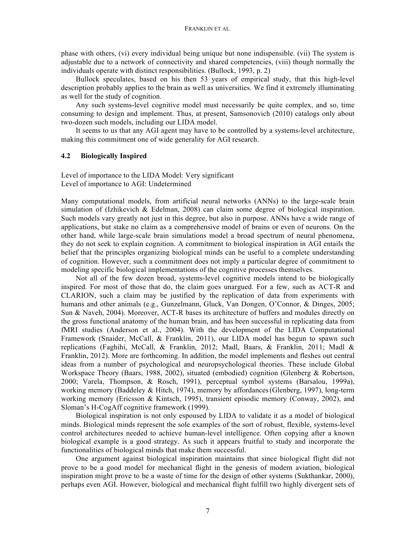phase with others, (vi) every individual being unique but none indispensible. (vii) The system is adjustable due to a network of connectivity and shared competencies, (viii) though normally the individuals operate with distinct responsibilities. (Bullock, 1993, p. 2)

Bullock speculates, based on his then 53 years of empirical study, that this high-level description probably applies to the brain as well as universities. We find it extremely illuminating as well for the study of cognition.

Any such systems-level cognitive model must necessarily be quite complex, and so, time consuming to design and implement. Thus, at present, Samsonovich (2010) catalogs only about two-dozen such models, including our LIDA model.

It seems to us that any AGI agent may have to be controlled by a systems-level architecture, making this commitment one of wide generality for AGI research.

#### **4.2 Biologically Inspired**

Level of importance to the LIDA Model: Very significant Level of importance to AGI: Undetermined

Many computational models, from artificial neural networks (ANNs) to the large-scale brain simulation of (Izhikevich & Edelman, 2008) can claim some degree of biological inspiration. Such models vary greatly not just in this degree, but also in purpose. ANNs have a wide range of applications, but stake no claim as a comprehensive model of brains or even of neurons. On the other hand, while large-scale brain simulations model a broad spectrum of neural phenomena, they do not seek to explain cognition. A commitment to biological inspiration in AGI entails the belief that the principles organizing biological minds can be useful to a complete understanding of cognition. However, such a commitment does not imply a particular degree of commitment to modeling specific biological implementations of the cognitive processes themselves.

Not all of the few dozen broad, systems-level cognitive models intend to be biologically inspired. For most of those that do, the claim goes unargued. For a few, such as ACT-R and CLARION, such a claim may be justified by the replication of data from experiments with humans and other animals (e.g., Gunzelmann, Gluck, Van Dongen, O'Connor, & Dinges, 2005; Sun & Naveh, 2004). Moreover, ACT-R bases its architecture of buffers and modules directly on the gross functional anatomy of the human brain, and has been successful in replicating data from fMRI studies (Anderson et al., 2004). With the development of the LIDA Computational Framework (Snaider, McCall, & Franklin, 2011), our LIDA model has begun to spawn such replications (Faghihi, McCall, & Franklin, 2012; Madl, Baars, & Franklin, 2011; Madl & Franklin, 2012). More are forthcoming. In addition, the model implements and fleshes out central ideas from a number of psychological and neuropsychological theories. These include Global Workspace Theory (Baars, 1988, 2002), situated (embodied) cognition (Glenberg & Robertson, 2000; Varela, Thompson, & Rosch, 1991), perceptual symbol systems (Barsalou, 1999a), working memory (Baddeley & Hitch, 1974), memory by affordances(Glenberg, 1997), long-term working memory (Ericsson & Kintsch, 1995), transient episodic memory (Conway, 2002), and Sloman's H-CogAff cognitive framework (1999).

Biological inspiration is not only espoused by LIDA to validate it as a model of biological minds. Biological minds represent the sole examples of the sort of robust, flexible, systems-level control architectures needed to achieve human-level intelligence. Often copying after a known biological example is a good strategy. As such it appears fruitful to study and incorporate the functionalities of biological minds that make them successful.

One argument against biological inspiration maintains that since biological flight did not prove to be a good model for mechanical flight in the genesis of modern aviation, biological inspiration might prove to be a waste of time for the design of other systems (Sukthankar, 2000), perhaps even AGI. However, biological and mechanical flight fulfill two highly divergent sets of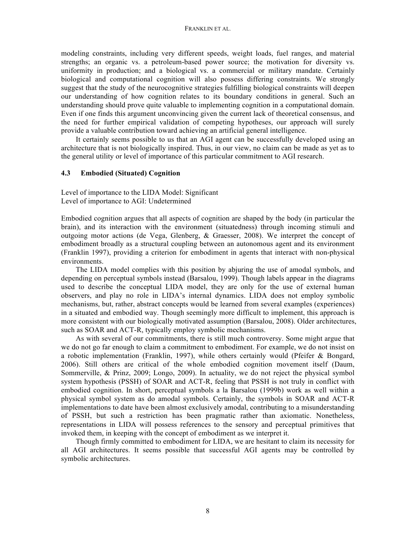modeling constraints, including very different speeds, weight loads, fuel ranges, and material strengths; an organic vs. a petroleum-based power source; the motivation for diversity vs. uniformity in production; and a biological vs. a commercial or military mandate. Certainly biological and computational cognition will also possess differing constraints. We strongly suggest that the study of the neurocognitive strategies fulfilling biological constraints will deepen our understanding of how cognition relates to its boundary conditions in general. Such an understanding should prove quite valuable to implementing cognition in a computational domain. Even if one finds this argument unconvincing given the current lack of theoretical consensus, and the need for further empirical validation of competing hypotheses, our approach will surely provide a valuable contribution toward achieving an artificial general intelligence.

It certainly seems possible to us that an AGI agent can be successfully developed using an architecture that is not biologically inspired. Thus, in our view, no claim can be made as yet as to the general utility or level of importance of this particular commitment to AGI research.

## **4.3 Embodied (Situated) Cognition**

Level of importance to the LIDA Model: Significant Level of importance to AGI: Undetermined

Embodied cognition argues that all aspects of cognition are shaped by the body (in particular the brain), and its interaction with the environment (situatedness) through incoming stimuli and outgoing motor actions (de Vega, Glenberg, & Graesser, 2008). We interpret the concept of embodiment broadly as a structural coupling between an autonomous agent and its environment (Franklin 1997), providing a criterion for embodiment in agents that interact with non-physical environments.

The LIDA model complies with this position by abjuring the use of amodal symbols, and depending on perceptual symbols instead (Barsalou, 1999). Though labels appear in the diagrams used to describe the conceptual LIDA model, they are only for the use of external human observers, and play no role in LIDA's internal dynamics. LIDA does not employ symbolic mechanisms, but, rather, abstract concepts would be learned from several examples (experiences) in a situated and embodied way. Though seemingly more difficult to implement, this approach is more consistent with our biologically motivated assumption (Barsalou, 2008). Older architectures, such as SOAR and ACT-R, typically employ symbolic mechanisms.

As with several of our commitments, there is still much controversy. Some might argue that we do not go far enough to claim a commitment to embodiment. For example, we do not insist on a robotic implementation (Franklin, 1997), while others certainly would (Pfeifer & Bongard, 2006). Still others are critical of the whole embodied cognition movement itself (Daum, Sommerville, & Prinz, 2009; Longo, 2009). In actuality, we do not reject the physical symbol system hypothesis (PSSH) of SOAR and ACT-R, feeling that PSSH is not truly in conflict with embodied cognition. In short, perceptual symbols a la Barsalou (1999b) work as well within a physical symbol system as do amodal symbols. Certainly, the symbols in SOAR and ACT-R implementations to date have been almost exclusively amodal, contributing to a misunderstanding of PSSH, but such a restriction has been pragmatic rather than axiomatic. Nonetheless, representations in LIDA will possess references to the sensory and perceptual primitives that invoked them, in keeping with the concept of embodiment as we interpret it.

Though firmly committed to embodiment for LIDA, we are hesitant to claim its necessity for all AGI architectures. It seems possible that successful AGI agents may be controlled by symbolic architectures.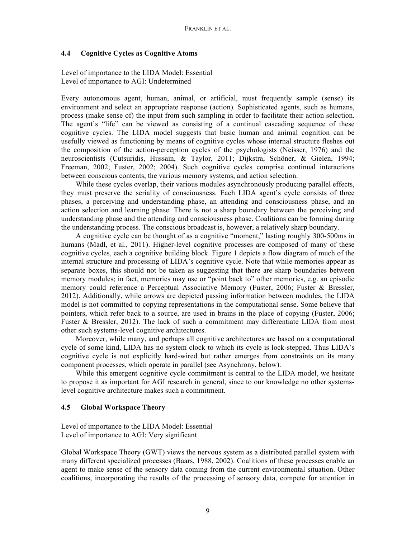## **4.4 Cognitive Cycles as Cognitive Atoms**

Level of importance to the LIDA Model: Essential Level of importance to AGI: Undetermined

Every autonomous agent, human, animal, or artificial, must frequently sample (sense) its environment and select an appropriate response (action). Sophisticated agents, such as humans, process (make sense of) the input from such sampling in order to facilitate their action selection. The agent's "life" can be viewed as consisting of a continual cascading sequence of these cognitive cycles. The LIDA model suggests that basic human and animal cognition can be usefully viewed as functioning by means of cognitive cycles whose internal structure fleshes out the composition of the action-perception cycles of the psychologists (Neisser, 1976) and the neuroscientists (Cutsuridis, Hussain, & Taylor, 2011; Dijkstra, Schöner, & Gielen, 1994; Freeman, 2002; Fuster, 2002; 2004). Such cognitive cycles comprise continual interactions between conscious contents, the various memory systems, and action selection.

While these cycles overlap, their various modules asynchronously producing parallel effects, they must preserve the seriality of consciousness. Each LIDA agent's cycle consists of three phases, a perceiving and understanding phase, an attending and consciousness phase, and an action selection and learning phase. There is not a sharp boundary between the perceiving and understanding phase and the attending and consciousness phase. Coalitions can be forming during the understanding process. The conscious broadcast is, however, a relatively sharp boundary.

A cognitive cycle can be thought of as a cognitive "moment," lasting roughly 300-500ms in humans (Madl, et al., 2011). Higher-level cognitive processes are composed of many of these cognitive cycles, each a cognitive building block. Figure 1 depicts a flow diagram of much of the internal structure and processing of LIDA's cognitive cycle. Note that while memories appear as separate boxes, this should not be taken as suggesting that there are sharp boundaries between memory modules; in fact, memories may use or "point back to" other memories, e.g. an episodic memory could reference a Perceptual Associative Memory (Fuster, 2006; Fuster & Bressler, 2012). Additionally, while arrows are depicted passing information between modules, the LIDA model is not committed to copying representations in the computational sense. Some believe that pointers, which refer back to a source, are used in brains in the place of copying (Fuster, 2006; Fuster & Bressler, 2012). The lack of such a commitment may differentiate LIDA from most other such systems-level cognitive architectures.

Moreover, while many, and perhaps all cognitive architectures are based on a computational cycle of some kind, LIDA has no system clock to which its cycle is lock-stepped. Thus LIDA's cognitive cycle is not explicitly hard-wired but rather emerges from constraints on its many component processes, which operate in parallel (see Asynchrony, below).

While this emergent cognitive cycle commitment is central to the LIDA model, we hesitate to propose it as important for AGI research in general, since to our knowledge no other systemslevel cognitive architecture makes such a commitment.

#### **4.5 Global Workspace Theory**

Level of importance to the LIDA Model: Essential Level of importance to AGI: Very significant

Global Workspace Theory (GWT) views the nervous system as a distributed parallel system with many different specialized processes (Baars, 1988, 2002). Coalitions of these processes enable an agent to make sense of the sensory data coming from the current environmental situation. Other coalitions, incorporating the results of the processing of sensory data, compete for attention in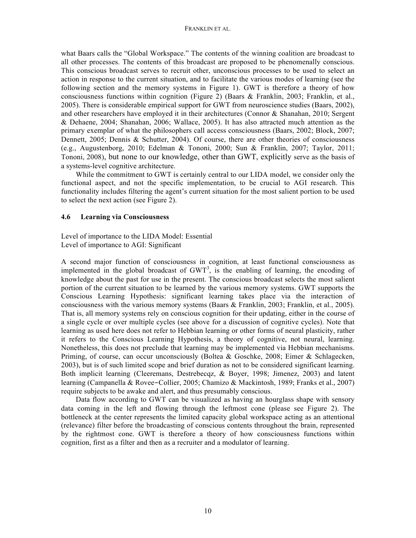what Baars calls the "Global Workspace." The contents of the winning coalition are broadcast to all other processes. The contents of this broadcast are proposed to be phenomenally conscious. This conscious broadcast serves to recruit other, unconscious processes to be used to select an action in response to the current situation, and to facilitate the various modes of learning (see the following section and the memory systems in Figure 1). GWT is therefore a theory of how consciousness functions within cognition (Figure 2) (Baars & Franklin, 2003; Franklin, et al., 2005). There is considerable empirical support for GWT from neuroscience studies (Baars, 2002), and other researchers have employed it in their architectures (Connor & Shanahan, 2010; Sergent & Dehaene, 2004; Shanahan, 2006; Wallace, 2005). It has also attracted much attention as the primary exemplar of what the philosophers call access consciousness (Baars, 2002; Block, 2007; Dennett, 2005; Dennis & Schutter, 2004). Of course, there are other theories of consciousness (e.g., Augustenborg, 2010; Edelman & Tononi, 2000; Sun & Franklin, 2007; Taylor, 2011; Tononi, 2008), but none to our knowledge, other than GWT, explicitly serve as the basis of a systems-level cognitive architecture.

While the commitment to GWT is certainly central to our LIDA model, we consider only the functional aspect, and not the specific implementation, to be crucial to AGI research. This functionality includes filtering the agent's current situation for the most salient portion to be used to select the next action (see Figure 2).

## **4.6 Learning via Consciousness**

Level of importance to the LIDA Model: Essential Level of importance to AGI: Significant

A second major function of consciousness in cognition, at least functional consciousness as implemented in the global broadcast of  $GWT<sup>3</sup>$ , is the enabling of learning, the encoding of knowledge about the past for use in the present. The conscious broadcast selects the most salient portion of the current situation to be learned by the various memory systems. GWT supports the Conscious Learning Hypothesis: significant learning takes place via the interaction of consciousness with the various memory systems (Baars & Franklin, 2003; Franklin, et al., 2005). That is, all memory systems rely on conscious cognition for their updating, either in the course of a single cycle or over multiple cycles (see above for a discussion of cognitive cycles). Note that learning as used here does not refer to Hebbian learning or other forms of neural plasticity, rather it refers to the Conscious Learning Hypothesis, a theory of cognitive, not neural, learning. Nonetheless, this does not preclude that learning may be implemented via Hebbian mechanisms. Priming, of course, can occur unconsciously (Boltea & Goschke, 2008; Eimer & Schlagecken, 2003), but is of such limited scope and brief duration as not to be considered significant learning. Both implicit learning (Cleeremans, Destrebecqz, & Boyer, 1998; Jimenez, 2003) and latent learning (Campanella & Rovee-Collier, 2005; Chamizo & Mackintosh, 1989; Franks et al., 2007) require subjects to be awake and alert, and thus presumably conscious.

Data flow according to GWT can be visualized as having an hourglass shape with sensory data coming in the left and flowing through the leftmost cone (please see Figure 2). The bottleneck at the center represents the limited capacity global workspace acting as an attentional (relevance) filter before the broadcasting of conscious contents throughout the brain, represented by the rightmost cone. GWT is therefore a theory of how consciousness functions within cognition, first as a filter and then as a recruiter and a modulator of learning.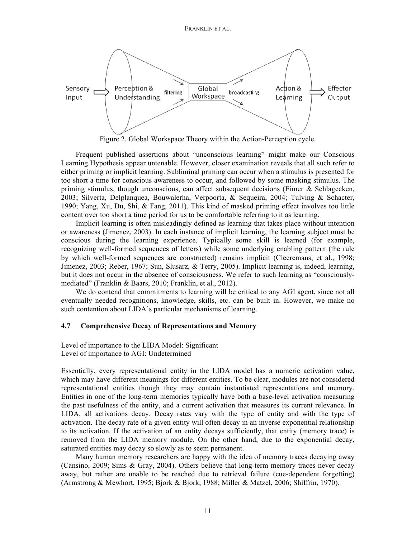

Figure 2. Global Workspace Theory within the Action-Perception cycle.

Frequent published assertions about "unconscious learning" might make our Conscious Learning Hypothesis appear untenable. However, closer examination reveals that all such refer to either priming or implicit learning. Subliminal priming can occur when a stimulus is presented for too short a time for conscious awareness to occur, and followed by some masking stimulus. The priming stimulus, though unconscious, can affect subsequent decisions (Eimer & Schlagecken, 2003; Silverta, Delplanquea, Bouwalerha, Verpoorta, & Sequeira, 2004; Tulving & Schacter, 1990; Yang, Xu, Du, Shi, & Fang, 2011). This kind of masked priming effect involves too little content over too short a time period for us to be comfortable referring to it as learning.

Implicit learning is often misleadingly defined as learning that takes place without intention or awareness (Jimenez, 2003). In each instance of implicit learning, the learning subject must be conscious during the learning experience. Typically some skill is learned (for example, recognizing well-formed sequences of letters) while some underlying enabling pattern (the rule by which well-formed sequences are constructed) remains implicit (Cleeremans, et al., 1998; Jimenez, 2003; Reber, 1967; Sun, Slusarz, & Terry, 2005). Implicit learning is, indeed, learning, but it does not occur in the absence of consciousness. We refer to such learning as "consciouslymediated" (Franklin & Baars, 2010; Franklin, et al., 2012).

We do contend that commitments to learning will be critical to any AGI agent, since not all eventually needed recognitions, knowledge, skills, etc. can be built in. However, we make no such contention about LIDA's particular mechanisms of learning.

## **4.7 Comprehensive Decay of Representations and Memory**

Level of importance to the LIDA Model: Significant Level of importance to AGI: Undetermined

Essentially, every representational entity in the LIDA model has a numeric activation value, which may have different meanings for different entities. To be clear, modules are not considered representational entities though they may contain instantiated representations and memory. Entities in one of the long-term memories typically have both a base-level activation measuring the past usefulness of the entity, and a current activation that measures its current relevance. In LIDA, all activations decay. Decay rates vary with the type of entity and with the type of activation. The decay rate of a given entity will often decay in an inverse exponential relationship to its activation. If the activation of an entity decays sufficiently, that entity (memory trace) is removed from the LIDA memory module. On the other hand, due to the exponential decay, saturated entities may decay so slowly as to seem permanent.

Many human memory researchers are happy with the idea of memory traces decaying away (Cansino, 2009; Sims & Gray, 2004). Others believe that long-term memory traces never decay away, but rather are unable to be reached due to retrieval failure (cue-dependent forgetting) (Armstrong & Mewhort, 1995; Bjork & Bjork, 1988; Miller & Matzel, 2006; Shiffrin, 1970).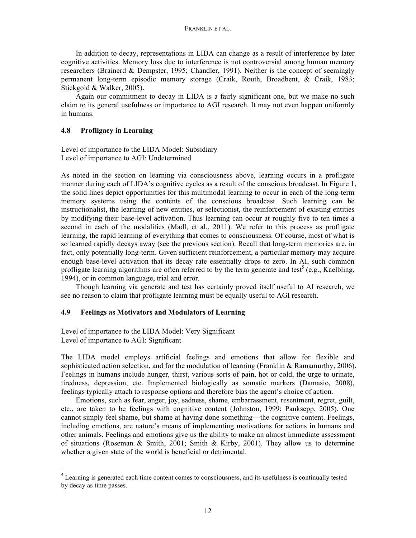In addition to decay, representations in LIDA can change as a result of interference by later cognitive activities. Memory loss due to interference is not controversial among human memory researchers (Brainerd & Dempster, 1995; Chandler, 1991). Neither is the concept of seemingly permanent long-term episodic memory storage (Craik, Routh, Broadbent, & Craik, 1983; Stickgold & Walker, 2005).

Again our commitment to decay in LIDA is a fairly significant one, but we make no such claim to its general usefulness or importance to AGI research. It may not even happen uniformly in humans.

## **4.8 Profligacy in Learning**

Level of importance to the LIDA Model: Subsidiary Level of importance to AGI: Undetermined

As noted in the section on learning via consciousness above, learning occurs in a profligate manner during each of LIDA's cognitive cycles as a result of the conscious broadcast. In Figure 1, the solid lines depict opportunities for this multimodal learning to occur in each of the long-term memory systems using the contents of the conscious broadcast. Such learning can be instructionalist, the learning of new entities, or selectionist, the reinforcement of existing entities by modifying their base-level activation. Thus learning can occur at roughly five to ten times a second in each of the modalities (Madl, et al., 2011). We refer to this process as profligate learning, the rapid learning of everything that comes to consciousness. Of course, most of what is so learned rapidly decays away (see the previous section). Recall that long-term memories are, in fact, only potentially long-term. Given sufficient reinforcement, a particular memory may acquire enough base-level activation that its decay rate essentially drops to zero. In AI, such common profligate learning algorithms are often referred to by the term generate and test<sup>5</sup> (e.g., Kaelbling, 1994), or in common language, trial and error.

Though learning via generate and test has certainly proved itself useful to AI research, we see no reason to claim that profligate learning must be equally useful to AGI research.

#### **4.9 Feelings as Motivators and Modulators of Learning**

Level of importance to the LIDA Model: Very Significant Level of importance to AGI: Significant

The LIDA model employs artificial feelings and emotions that allow for flexible and sophisticated action selection, and for the modulation of learning (Franklin & Ramamurthy, 2006). Feelings in humans include hunger, thirst, various sorts of pain, hot or cold, the urge to urinate, tiredness, depression, etc. Implemented biologically as somatic markers (Damasio, 2008), feelings typically attach to response options and therefore bias the agent's choice of action.

Emotions, such as fear, anger, joy, sadness, shame, embarrassment, resentment, regret, guilt, etc., are taken to be feelings with cognitive content (Johnston, 1999; Panksepp, 2005). One cannot simply feel shame, but shame at having done something—the cognitive content. Feelings, including emotions, are nature's means of implementing motivations for actions in humans and other animals. Feelings and emotions give us the ability to make an almost immediate assessment of situations (Roseman & Smith, 2001; Smith & Kirby, 2001). They allow us to determine whether a given state of the world is beneficial or detrimental.

<sup>&</sup>lt;sup>5</sup> Learning is generated each time content comes to consciousness, and its usefulness is continually tested by decay as time passes.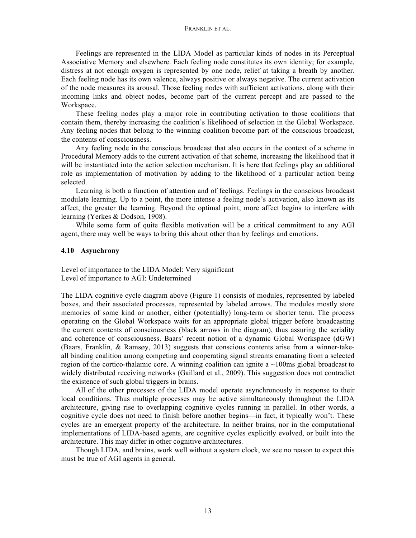Feelings are represented in the LIDA Model as particular kinds of nodes in its Perceptual Associative Memory and elsewhere. Each feeling node constitutes its own identity; for example, distress at not enough oxygen is represented by one node, relief at taking a breath by another. Each feeling node has its own valence, always positive or always negative. The current activation of the node measures its arousal. Those feeling nodes with sufficient activations, along with their incoming links and object nodes, become part of the current percept and are passed to the Workspace.

These feeling nodes play a major role in contributing activation to those coalitions that contain them, thereby increasing the coalition's likelihood of selection in the Global Workspace. Any feeling nodes that belong to the winning coalition become part of the conscious broadcast, the contents of consciousness.

Any feeling node in the conscious broadcast that also occurs in the context of a scheme in Procedural Memory adds to the current activation of that scheme, increasing the likelihood that it will be instantiated into the action selection mechanism. It is here that feelings play an additional role as implementation of motivation by adding to the likelihood of a particular action being selected.

Learning is both a function of attention and of feelings. Feelings in the conscious broadcast modulate learning. Up to a point, the more intense a feeling node's activation, also known as its affect, the greater the learning. Beyond the optimal point, more affect begins to interfere with learning (Yerkes & Dodson, 1908).

While some form of quite flexible motivation will be a critical commitment to any AGI agent, there may well be ways to bring this about other than by feelings and emotions.

# **4.10 Asynchrony**

Level of importance to the LIDA Model: Very significant Level of importance to AGI: Undetermined

The LIDA cognitive cycle diagram above (Figure 1) consists of modules, represented by labeled boxes, and their associated processes, represented by labeled arrows. The modules mostly store memories of some kind or another, either (potentially) long-term or shorter term. The process operating on the Global Workspace waits for an appropriate global trigger before broadcasting the current contents of consciousness (black arrows in the diagram), thus assuring the seriality and coherence of consciousness. Baars' recent notion of a dynamic Global Workspace (dGW) (Baars, Franklin, & Ramsøy, 2013) suggests that conscious contents arise from a winner-takeall binding coalition among competing and cooperating signal streams emanating from a selected region of the cortico-thalamic core. A winning coalition can ignite a  $\sim$ 100ms global broadcast to widely distributed receiving networks (Gaillard et al., 2009). This suggestion does not contradict the existence of such global triggers in brains.

All of the other processes of the LIDA model operate asynchronously in response to their local conditions. Thus multiple processes may be active simultaneously throughout the LIDA architecture, giving rise to overlapping cognitive cycles running in parallel. In other words, a cognitive cycle does not need to finish before another begins—in fact, it typically won't. These cycles are an emergent property of the architecture. In neither brains, nor in the computational implementations of LIDA-based agents, are cognitive cycles explicitly evolved, or built into the architecture. This may differ in other cognitive architectures.

Though LIDA, and brains, work well without a system clock, we see no reason to expect this must be true of AGI agents in general.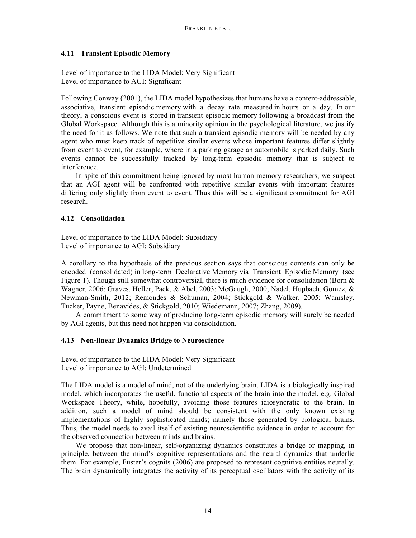# **4.11 Transient Episodic Memory**

Level of importance to the LIDA Model: Very Significant Level of importance to AGI: Significant

Following Conway (2001), the LIDA model hypothesizes that humans have a content-addressable, associative, transient episodic memory with a decay rate measured in hours or a day. In our theory, a conscious event is stored in transient episodic memory following a broadcast from the Global Workspace. Although this is a minority opinion in the psychological literature, we justify the need for it as follows. We note that such a transient episodic memory will be needed by any agent who must keep track of repetitive similar events whose important features differ slightly from event to event, for example, where in a parking garage an automobile is parked daily. Such events cannot be successfully tracked by long-term episodic memory that is subject to interference.

In spite of this commitment being ignored by most human memory researchers, we suspect that an AGI agent will be confronted with repetitive similar events with important features differing only slightly from event to event. Thus this will be a significant commitment for AGI research.

# **4.12 Consolidation**

Level of importance to the LIDA Model: Subsidiary Level of importance to AGI: Subsidiary

A corollary to the hypothesis of the previous section says that conscious contents can only be encoded (consolidated) in long-term Declarative Memory via Transient Episodic Memory (see Figure 1). Though still somewhat controversial, there is much evidence for consolidation (Born  $\&$ Wagner, 2006; Graves, Heller, Pack, & Abel, 2003; McGaugh, 2000; Nadel, Hupbach, Gomez, & Newman-Smith, 2012; Remondes & Schuman, 2004; Stickgold & Walker, 2005; Wamsley, Tucker, Payne, Benavides, & Stickgold, 2010; Wiedemann, 2007; Zhang, 2009).

A commitment to some way of producing long-term episodic memory will surely be needed by AGI agents, but this need not happen via consolidation.

# **4.13 Non-linear Dynamics Bridge to Neuroscience**

Level of importance to the LIDA Model: Very Significant Level of importance to AGI: Undetermined

The LIDA model is a model of mind, not of the underlying brain. LIDA is a biologically inspired model, which incorporates the useful, functional aspects of the brain into the model, e.g. Global Workspace Theory, while, hopefully, avoiding those features idiosyncratic to the brain. In addition, such a model of mind should be consistent with the only known existing implementations of highly sophisticated minds; namely those generated by biological brains. Thus, the model needs to avail itself of existing neuroscientific evidence in order to account for the observed connection between minds and brains.

We propose that non-linear, self-organizing dynamics constitutes a bridge or mapping, in principle, between the mind's cognitive representations and the neural dynamics that underlie them. For example, Fuster's cognits (2006) are proposed to represent cognitive entities neurally. The brain dynamically integrates the activity of its perceptual oscillators with the activity of its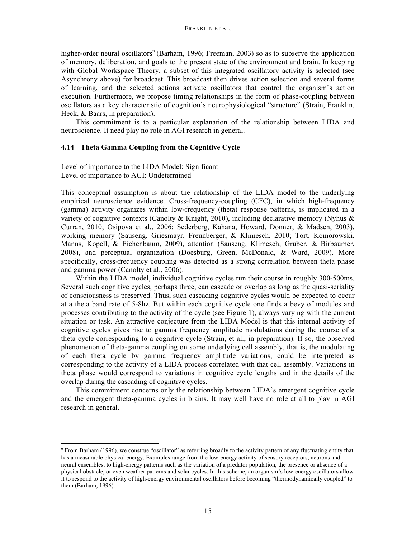higher-order neural oscillators<sup>6</sup> (Barham, 1996; Freeman, 2003) so as to subserve the application of memory, deliberation, and goals to the present state of the environment and brain. In keeping with Global Workspace Theory, a subset of this integrated oscillatory activity is selected (see Asynchrony above) for broadcast. This broadcast then drives action selection and several forms of learning, and the selected actions activate oscillators that control the organism's action execution. Furthermore, we propose timing relationships in the form of phase-coupling between oscillators as a key characteristic of cognition's neurophysiological "structure" (Strain, Franklin, Heck, & Baars, in preparation).

This commitment is to a particular explanation of the relationship between LIDA and neuroscience. It need play no role in AGI research in general.

## **4.14 Theta Gamma Coupling from the Cognitive Cycle**

Level of importance to the LIDA Model: Significant Level of importance to AGI: Undetermined

This conceptual assumption is about the relationship of the LIDA model to the underlying empirical neuroscience evidence. Cross-frequency-coupling (CFC), in which high-frequency (gamma) activity organizes within low-frequency (theta) response patterns, is implicated in a variety of cognitive contexts (Canolty & Knight, 2010), including declarative memory (Nyhus & Curran, 2010; Osipova et al., 2006; Sederberg, Kahana, Howard, Donner, & Madsen, 2003), working memory (Sauseng, Griesmayr, Freunberger, & Klimesch, 2010; Tort, Komorowski, Manns, Kopell, & Eichenbaum, 2009), attention (Sauseng, Klimesch, Gruber, & Birbaumer, 2008), and perceptual organization (Doesburg, Green, McDonald, & Ward, 2009). More specifically, cross-frequency coupling was detected as a strong correlation between theta phase and gamma power (Canolty et al., 2006).

Within the LIDA model, individual cognitive cycles run their course in roughly 300-500ms. Several such cognitive cycles, perhaps three, can cascade or overlap as long as the quasi-seriality of consciousness is preserved. Thus, such cascading cognitive cycles would be expected to occur at a theta band rate of 5-8hz. But within each cognitive cycle one finds a bevy of modules and processes contributing to the activity of the cycle (see Figure 1), always varying with the current situation or task. An attractive conjecture from the LIDA Model is that this internal activity of cognitive cycles gives rise to gamma frequency amplitude modulations during the course of a theta cycle corresponding to a cognitive cycle (Strain, et al., in preparation). If so, the observed phenomenon of theta-gamma coupling on some underlying cell assembly, that is, the modulating of each theta cycle by gamma frequency amplitude variations, could be interpreted as corresponding to the activity of a LIDA process correlated with that cell assembly. Variations in theta phase would correspond to variations in cognitive cycle lengths and in the details of the overlap during the cascading of cognitive cycles.

This commitment concerns only the relationship between LIDA's emergent cognitive cycle and the emergent theta-gamma cycles in brains. It may well have no role at all to play in AGI research in general.

 $6$  From Barham (1996), we construe "oscillator" as referring broadly to the activity pattern of any fluctuating entity that has a measurable physical energy. Examples range from the low-energy activity of sensory receptors, neurons and neural ensembles, to high-energy patterns such as the variation of a predator population, the presence or absence of a physical obstacle, or even weather patterns and solar cycles. In this scheme, an organism's low-energy oscillators allow it to respond to the activity of high-energy environmental oscillators before becoming "thermodynamically coupled" to them (Barham, 1996).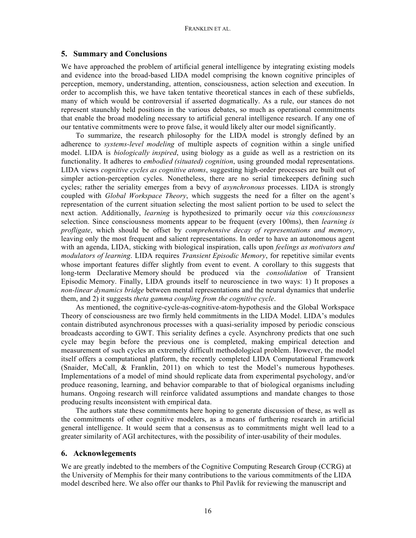# **5. Summary and Conclusions**

We have approached the problem of artificial general intelligence by integrating existing models and evidence into the broad-based LIDA model comprising the known cognitive principles of perception, memory, understanding, attention, consciousness, action selection and execution. In order to accomplish this, we have taken tentative theoretical stances in each of these subfields, many of which would be controversial if asserted dogmatically. As a rule, our stances do not represent staunchly held positions in the various debates, so much as operational commitments that enable the broad modeling necessary to artificial general intelligence research. If any one of our tentative commitments were to prove false, it would likely alter our model significantly.

To summarize, the research philosophy for the LIDA model is strongly defined by an adherence to *systems-level modeling* of multiple aspects of cognition within a single unified model. LIDA is *biologically inspired*, using biology as a guide as well as a restriction on its functionality. It adheres to *embodied (situated) cognition*, using grounded modal representations. LIDA views *cognitive cycles as cognitive atoms*, suggesting high-order processes are built out of simpler action-perception cycles. Nonetheless, there are no serial timekeepers defining such cycles; rather the seriality emerges from a bevy of *asynchronous* processes. LIDA is strongly coupled with *Global Workspace Theory*, which suggests the need for a filter on the agent's representation of the current situation selecting the most salient portion to be used to select the next action. Additionally, *learning* is hypothesized to primarily occur *via* this *consciousness* selection. Since consciousness moments appear to be frequent (every 100ms), then *learning is profligate*, which should be offset by *comprehensive decay of representations and memory*, leaving only the most frequent and salient representations. In order to have an autonomous agent with an agenda, LIDA, sticking with biological inspiration, calls upon *feelings as motivators and modulators of learning*. LIDA requires *Transient Episodic Memory*, for repetitive similar events whose important features differ slightly from event to event. A corollary to this suggests that long-term Declarative Memory should be produced via the *consolidation* of Transient Episodic Memory. Finally, LIDA grounds itself to neuroscience in two ways: 1) It proposes a *non-linear dynamics bridge* between mental representations and the neural dynamics that underlie them, and 2) it suggests *theta gamma coupling from the cognitive cycle*.

As mentioned, the cognitive-cycle-as-cognitive-atom-hypothesis and the Global Workspace Theory of consciousness are two firmly held commitments in the LIDA Model. LIDA's modules contain distributed asynchronous processes with a quasi-seriality imposed by periodic conscious broadcasts according to GWT. This seriality defines a cycle. Asynchrony predicts that one such cycle may begin before the previous one is completed, making empirical detection and measurement of such cycles an extremely difficult methodological problem. However, the model itself offers a computational platform, the recently completed LIDA Computational Framework (Snaider, McCall, & Franklin, 2011) on which to test the Model's numerous hypotheses. Implementations of a model of mind should replicate data from experimental psychology, and/or produce reasoning, learning, and behavior comparable to that of biological organisms including humans. Ongoing research will reinforce validated assumptions and mandate changes to those producing results inconsistent with empirical data.

The authors state these commitments here hoping to generate discussion of these, as well as the commitments of other cognitive modelers, as a means of furthering research in artificial general intelligence. It would seem that a consensus as to commitments might well lead to a greater similarity of AGI architectures, with the possibility of inter-usability of their modules.

## **6. Acknowlegements**

We are greatly indebted to the members of the Cognitive Computing Research Group (CCRG) at the University of Memphis for their many contributions to the various commitments of the LIDA model described here. We also offer our thanks to Phil Pavlik for reviewing the manuscript and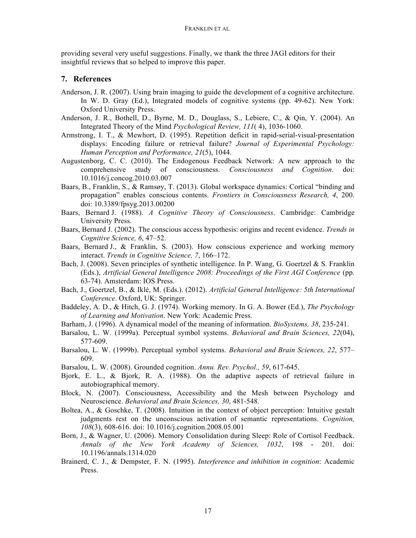providing several very useful suggestions. Finally, we thank the three JAGI editors for their insightful reviews that so helped to improve this paper.

# **7. References**

- Anderson, J. R. (2007). Using brain imaging to guide the development of a cognitive architecture. In W. D. Gray (Ed.), Integrated models of cognitive systems (pp. 49-62). New York: Oxford University Press.
- Anderson, J. R., Bothell, D., Byrne, M. D., Douglass, S., Lebiere, C., & Qin, Y. (2004). An Integrated Theory of the Mind *Psychological Review, 111*( 4), 1036-1060.
- Armstrong, I. T., & Mewhort, D. (1995). Repetition deficit in rapid-serial-visual-presentation displays: Encoding failure or retrieval failure? *Journal of Experimental Psychology: Human Perception and Performance, 21*(5), 1044.
- Augustenborg, C. C. (2010). The Endogenous Feedback Network: A new approach to the comprehensive study of consciousness. *Consciousness and Cognition*. doi: 10.1016/j.concog.2010.03.007
- Baars, B., Franklin, S., & Ramsøy, T. (2013). Global workspace dynamics: Cortical "binding and propagation" enables conscious contents. *Frontiers in Consciousness Research, 4*, 200. doi: 10.3389/fpsyg.2013.00200
- Baars, Bernard J. (1988). *A Cognitive Theory of Consciousness*. Cambridge: Cambridge University Press.
- Baars, Bernard J. (2002). The conscious access hypothesis: origins and recent evidence. *Trends in Cognitive Science, 6*, 47–52.
- Baars, Bernard J., & Franklin, S. (2003). How conscious experience and working memory interact. *Trends in Cognitive Science, 7*, 166–172.
- Bach, J. (2008). Seven principles of synthetic intelligence. In P. Wang, G. Goertzel & S. Franklin (Eds.), *Artificial General Intelligence 2008: Proceedings of the First AGI Conference* (pp. 63-74). Amsterdam: IOS Press.
- Bach, J., Goertzel, B., & Iklé, M. (Eds.). (2012). *Artificial General Intelligence: 5th International Conference*. Oxford, UK: Springer.
- Baddeley, A. D., & Hitch, G. J. (1974). Working memory. In G. A. Bower (Ed.), *The Psychology of Learning and Motivation*. New York: Academic Press.
- Barham, J. (1996). A dynamical model of the meaning of information. *BioSystems, 38*, 235-241.
- Barsalou, L. W. (1999a). Perceptual symbol systems. *Behavioral and Brain Sciences, 22*(04), 577-609.
- Barsalou, L. W. (1999b). Perceptual symbol systems. *Behavioral and Brain Sciences, 22*, 577– 609.
- Barsalou, L. W. (2008). Grounded cognition. *Annu. Rev. Psychol., 59*, 617-645.
- Bjork, E. L., & Bjork, R. A. (1988). On the adaptive aspects of retrieval failure in autobiographical memory.
- Block, N. (2007). Consciousness, Accessibility and the Mesh between Psychology and Neuroscience. *Behavioral and Brain Sciences, 30*, 481-548.
- Boltea, A., & Goschke, T. (2008). Intuition in the context of object perception: Intuitive gestalt judgments rest on the unconscious activation of semantic representations. *Cognition, 108*(3), 608-616. doi: 10.1016/j.cognition.2008.05.001
- Born, J., & Wagner, U. (2006). Memory Consolidation during Sleep: Role of Cortisol Feedback. *Annals of the New York Academy of Sciences, 1032*, 198 - 201. doi: 10.1196/annals.1314.020
- Brainerd, C. J., & Dempster, F. N. (1995). *Interference and inhibition in cognition*: Academic Press.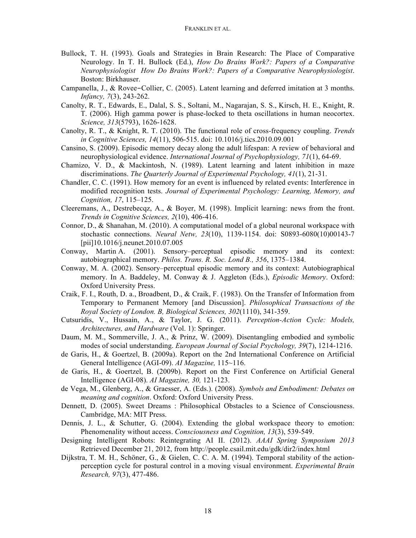- Bullock, T. H. (1993). Goals and Strategies in Brain Research: The Place of Comparative Neurology. In T. H. Bullock (Ed.), *How Do Brains Work?: Papers of a Comparative Neurophysiologist How Do Brains Work?: Papers of a Comparative Neurophysiologist*. Boston: Birkhauser.
- Campanella, J., & Rovee-Collier, C. (2005). Latent learning and deferred imitation at 3 months. *Infancy, 7*(3), 243-262.
- Canolty, R. T., Edwards, E., Dalal, S. S., Soltani, M., Nagarajan, S. S., Kirsch, H. E., Knight, R. T. (2006). High gamma power is phase-locked to theta oscillations in human neocortex. *Science, 313*(5793), 1626-1628.
- Canolty, R. T., & Knight, R. T. (2010). The functional role of cross-frequency coupling. *Trends in Cognitive Sciences, 14*(11), 506-515. doi: 10.1016/j.tics.2010.09.001
- Cansino, S. (2009). Episodic memory decay along the adult lifespan: A review of behavioral and neurophysiological evidence. *International Journal of Psychophysiology, 71*(1), 64-69.
- Chamizo, V. D., & Mackintosh, N. (1989). Latent learning and latent inhibition in maze discriminations. *The Quarterly Journal of Experimental Psychology, 41*(1), 21-31.
- Chandler, C. C. (1991). How memory for an event is influenced by related events: Interference in modified recognition tests. *Journal of Experimental Psychology: Learning, Memory, and Cognition, 17*, 115–125.
- Cleeremans, A., Destrebecqz, A., & Boyer, M. (1998). Implicit learning: news from the front. *Trends in Cognitive Sciences, 2*(10), 406-416.
- Connor, D., & Shanahan, M. (2010). A computational model of a global neuronal workspace with stochastic connections. *Neural Netw, 23*(10), 1139-1154. doi: S0893-6080(10)00143-7 [pii]10.1016/j.neunet.2010.07.005
- Conway, Martin A. (2001). Sensory–perceptual episodic memory and its context: autobiographical memory. *Philos. Trans. R. Soc. Lond B., 356*, 1375–1384.
- Conway, M. A. (2002). Sensory–perceptual episodic memory and its context: Autobiographical memory. In A. Baddeley, M. Conway & J. Aggleton (Eds.), *Episodic Memory*. Oxford: Oxford University Press.
- Craik, F. I., Routh, D. a., Broadbent, D., & Craik, F. (1983). On the Transfer of Information from Temporary to Permanent Memory [and Discussion]. *Philosophical Transactions of the Royal Society of London. B, Biological Sciences, 302*(1110), 341-359.
- Cutsuridis, V., Hussain, A., & Taylor, J. G. (2011). *Perception-Action Cycle: Models, Architectures, and Hardware* (Vol. 1): Springer.
- Daum, M. M., Sommerville, J. A., & Prinz, W. (2009). Disentangling embodied and symbolic modes of social understanding. *European Journal of Social Psychology, 39*(7), 1214-1216.
- de Garis, H., & Goertzel, B. (2009a). Report on the 2nd International Conference on Artificial General Intelligence (AGI-09). *AI Magazine,* 115~116.
- de Garis, H., & Goertzel, B. (2009b). Report on the First Conference on Artificial General Intelligence (AGI-08). *AI Magazine, 30,* 121-123.
- de Vega, M., Glenberg, A., & Graesser, A. (Eds.). (2008). *Symbols and Embodiment: Debates on meaning and cognition*. Oxford: Oxford University Press.
- Dennett, D. (2005). Sweet Dreams : Philosophical Obstacles to a Science of Consciousness. Cambridge, MA: MIT Press.
- Dennis, J. L., & Schutter, G. (2004). Extending the global workspace theory to emotion: Phenomenality without access. *Consciousness and Cognition, 13*(3), 539-549.
- Designing Intelligent Robots: Reintegrating AI II. (2012). *AAAI Spring Symposium 2013* Retrieved December 21, 2012, from http://people.csail.mit.edu/gdk/dir2/index.html
- Dijkstra, T. M. H., Schöner, G., & Gielen, C. C. A. M. (1994). Temporal stability of the actionperception cycle for postural control in a moving visual environment. *Experimental Brain Research, 97*(3), 477-486.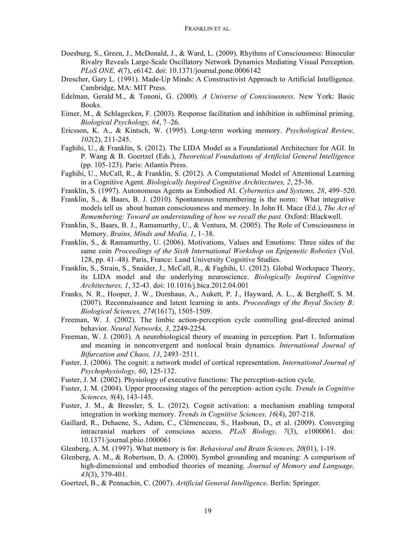- Doesburg, S., Green, J., McDonald, J., & Ward, L. (2009). Rhythms of Consciousness: Binocular Rivalry Reveals Large-Scale Oscillatory Network Dynamics Mediating Visual Perception. *PLoS ONE, 4*(7), e6142. doi: 10.1371/journal.pone.0006142
- Drescher, Gary L. (1991). Made-Up Minds: A Constructivist Approach to Artificial Intelligence. Cambridge, MA: MIT Press.
- Edelman, Gerald M., & Tononi, G. (2000). *A Universe of Consciousness*. New York: Basic Books.
- Eimer, M., & Schlagecken, F. (2003). Response facilitation and inhibition in subliminal priming. *Biological Psychology, 64*, 7–26.
- Ericsson, K. A., & Kintsch, W. (1995). Long-term working memory. *Psychological Review, 102*(2), 211-245.
- Faghihi, U., & Franklin, S. (2012). The LIDA Model as a Foundational Architecture for AGI. In P. Wang & B. Goertzel (Eds.), *Theoretical Foundations of Artificial General Intelligence* (pp. 105-123). Paris: Atlantis Press.
- Faghihi, U., McCall, R., & Franklin, S. (2012). A Computational Model of Attentional Learning in a Cognitive Agent. *Biologically Inspired Cognitive Architectures, 2*, 25-36.
- Franklin, S. (1997). Autonomous Agents as Embodied AI. *Cybernetics and Systems, 28*, 499–520.
- Franklin, S., & Baars, B. J. (2010). Spontaneous remembering is the norm: What integrative models tell us about human consciousness and memory. In John H. Mace (Ed.), *The Act of Remembering: Toward an understanding of how we recall the past*. Oxford: Blackwell.
- Franklin, S., Baars, B. J., Ramamurthy, U., & Ventura, M. (2005). The Role of Consciousness in Memory. *Brains, Minds and Media, 1*, 1–38.
- Franklin, S., & Ramamurthy, U. (2006). Motivations, Values and Emotions: Three sides of the same coin *Proceedings of the Sixth International Workshop on Epigenetic Robotics* (Vol. 128, pp. 41–48). Paris, France: Lund University Cognitive Studies.
- Franklin, S., Strain, S., Snaider, J., McCall, R., & Faghihi, U. (2012). Global Workspace Theory, its LIDA model and the underlying neuroscience. *Biologically Inspired Cognitive Architectures, 1*, 32-43. doi: 10.1016/j.bica.2012.04.001
- Franks, N. R., Hooper, J. W., Dornhaus, A., Aukett, P. J., Hayward, A. L., & Berghoff, S. M. (2007). Reconnaissance and latent learning in ants. *Proceedings of the Royal Society B: Biological Sciences, 274*(1617), 1505-1509.
- Freeman, W. J. (2002). The limbic action-perception cycle controlling goal-directed animal behavior. *Neural Networks, 3*, 2249-2254.
- Freeman, W. J. (2003). A neurobiological theory of meaning in perception. Part 1. Information and meaning in nonconvergent and nonlocal brain dynamics. *International Journal of Bifurcation and Chaos, 13*, 2493–2511.
- Fuster, J. (2006). The cognit: a network model of cortical representation. *International Journal of Psychophysiology, 60*, 125-132.
- Fuster, J. M. (2002). Physiology of executive functions: The perception-action cycle.
- Fuster, J. M. (2004). Upper processing stages of the perception–action cycle. *Trends in Cognitive Sciences, 8*(4), 143-145.
- Fuster, J. M., & Bressler, S. L. (2012). Cognit activation: a mechanism enabling temporal integration in working memory. *Trends in Cognitive Sciences, 16*(4), 207-218.
- Gaillard, R., Dehaene, S., Adam, C., Clémenceau, S., Hasboun, D., et al. (2009). Converging intracranial markers of conscious access. *PLoS Biology, 7*(3), e1000061. doi: 10.1371/journal.pbio.1000061
- Glenberg, A. M. (1997). What memory is for. *Behavioral and Brain Sciences, 20*(01), 1-19.
- Glenberg, A. M., & Robertson, D. A. (2000). Symbol grounding and meaning: A comparison of high-dimensional and embodied theories of meaning. *Journal of Memory and Language, 43*(3), 379-401.
- Goertzel, B., & Pennachin, C. (2007). *Artificial General Intelligence*. Berlin: Springer.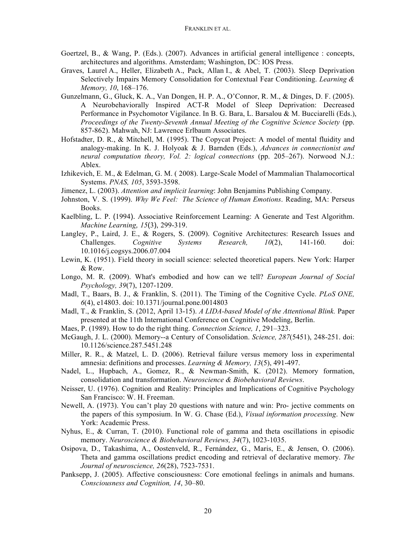- Goertzel, B., & Wang, P. (Eds.). (2007). Advances in artificial general intelligence : concepts, architectures and algorithms. Amsterdam; Washington, DC: IOS Press.
- Graves, Laurel A., Heller, Elizabeth A., Pack, Allan I., & Abel, T. (2003). Sleep Deprivation Selectively Impairs Memory Consolidation for Contextual Fear Conditioning. *Learning & Memory, 10*, 168–176.
- Gunzelmann, G., Gluck, K. A., Van Dongen, H. P. A., O'Connor, R. M., & Dinges, D. F. (2005). A Neurobehaviorally Inspired ACT-R Model of Sleep Deprivation: Decreased Performance in Psychomotor Vigilance. In B. G. Bara, L. Barsalou & M. Bucciarelli (Eds.), *Proceedings of the Twenty-Seventh Annual Meeting of the Cognitive Science Society* (pp. 857-862). Mahwah, NJ: Lawrence Erlbaum Associates.
- Hofstadter, D. R., & Mitchell, M. (1995). The Copycat Project: A model of mental fluidity and analogy-making. In K. J. Holyoak & J. Barnden (Eds.), *Advances in connectionist and neural computation theory, Vol. 2: logical connections* (pp. 205–267). Norwood N.J.: Ablex.
- Izhikevich, E. M., & Edelman, G. M. ( 2008). Large-Scale Model of Mammalian Thalamocortical Systems. *PNAS, 105*, 3593-3598.
- Jimenez, L. (2003). *Attention and implicit learning*: John Benjamins Publishing Company.
- Johnston, V. S. (1999). *Why We Feel: The Science of Human Emotions*. Reading, MA: Perseus Books.
- Kaelbling, L. P. (1994). Associative Reinforcement Learning: A Generate and Test Algorithm. *Machine Learning, 15*(3), 299-319.
- Langley, P., Laird, J. E., & Rogers, S. (2009). Cognitive Architectures: Research Issues and Challenges. *Cognitive Systems Research, 10*(2), 141-160. doi: 10.1016/j.cogsys.2006.07.004
- Lewin, K. (1951). Field theory in sociall science: selected theoretical papers. New York: Harper & Row.
- Longo, M. R. (2009). What's embodied and how can we tell? *European Journal of Social Psychology, 39*(7), 1207-1209.
- Madl, T., Baars, B. J., & Franklin, S. (2011). The Timing of the Cognitive Cycle. *PLoS ONE, 6*(4), e14803. doi: 10.1371/journal.pone.0014803
- Madl, T., & Franklin, S. (2012, April 13-15). *A LIDA-based Model of the Attentional Blink.* Paper presented at the 11th International Conference on Cognitive Modeling, Berlin.
- Maes, P. (1989). How to do the right thing. *Connection Science, 1*, 291–323.
- McGaugh, J. L. (2000). Memory--a Century of Consolidation. *Science, 287*(5451), 248-251. doi: 10.1126/science.287.5451.248
- Miller, R. R., & Matzel, L. D. (2006). Retrieval failure versus memory loss in experimental amnesia: definitions and processes. *Learning & Memory, 13*(5), 491-497.
- Nadel, L., Hupbach, A., Gomez, R., & Newman-Smith, K. (2012). Memory formation, consolidation and transformation. *Neuroscience & Biobehavioral Reviews*.
- Neisser, U. (1976). Cognition and Reality: Principles and Implications of Cognitive Psychology San Francisco: W. H. Freeman.
- Newell, A. (1973). You can't play 20 questions with nature and win: Pro- jective comments on the papers of this symposium. In W. G. Chase (Ed.), *Visual information processing*. New York: Academic Press.
- Nyhus, E., & Curran, T. (2010). Functional role of gamma and theta oscillations in episodic memory. *Neuroscience & Biobehavioral Reviews, 34*(7), 1023-1035.
- Osipova, D., Takashima, A., Oostenveld, R., Fernández, G., Maris, E., & Jensen, O. (2006). Theta and gamma oscillations predict encoding and retrieval of declarative memory. *The Journal of neuroscience, 26*(28), 7523-7531.
- Panksepp, J. (2005). Affective consciousness: Core emotional feelings in animals and humans. *Consciousness and Cognition, 14*, 30–80.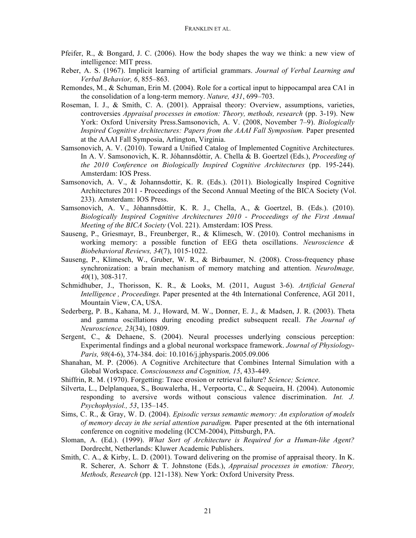- Pfeifer, R., & Bongard, J. C. (2006). How the body shapes the way we think: a new view of intelligence: MIT press.
- Reber, A. S. (1967). Implicit learning of artificial grammars. *Journal of Verbal Learning and Verbal Behavior, 6*, 855–863.
- Remondes, M., & Schuman, Erin M. (2004). Role for a cortical input to hippocampal area CA1 in the consolidation of a long-term memory. *Nature, 431*, 699–703.
- Roseman, I. J., & Smith, C. A. (2001). Appraisal theory: Overview, assumptions, varieties, controversies *Appraisal processes in emotion: Theory, methods, research* (pp. 3-19). New York: Oxford University Press.Samsonovich, A. V. (2008, November 7–9). *Biologically Inspired Cognitive Architectures: Papers from the AAAI Fall Symposium.* Paper presented at the AAAI Fall Symposia, Arlington, Virginia.
- Samsonovich, A. V. (2010). Toward a Unified Catalog of Implemented Cognitive Architectures. In A. V. Samsonovich, K. R. Jóhannsdóttir, A. Chella & B. Goertzel (Eds.), *Proceeding of the 2010 Conference on Biologically Inspired Cognitive Architectures* (pp. 195-244). Amsterdam: IOS Press.
- Samsonovich, A. V., & Johannsdottir, K. R. (Eds.). (2011). Biologically Inspired Cognitive Architectures 2011 - Proceedings of the Second Annual Meeting of the BICA Society (Vol. 233). Amsterdam: IOS Press.
- Samsonovich, A. V., Jóhannsdóttir, K. R. J., Chella, A., & Goertzel, B. (Eds.). (2010). *Biologically Inspired Cognitive Architectures 2010 - Proceedings of the First Annual Meeting of the BICA Society* (Vol. 221). Amsterdam: IOS Press.
- Sauseng, P., Griesmayr, B., Freunberger, R., & Klimesch, W. (2010). Control mechanisms in working memory: a possible function of EEG theta oscillations. *Neuroscience & Biobehavioral Reviews, 34*(7), 1015-1022.
- Sauseng, P., Klimesch, W., Gruber, W. R., & Birbaumer, N. (2008). Cross-frequency phase synchronization: a brain mechanism of memory matching and attention. *NeuroImage, 40*(1), 308-317.
- Schmidhuber, J., Thorisson, K. R., & Looks, M. (2011, August 3-6). *Artificial General Intelligence , Proceedings.* Paper presented at the 4th International Conference, AGI 2011, Mountain View, CA, USA.
- Sederberg, P. B., Kahana, M. J., Howard, M. W., Donner, E. J., & Madsen, J. R. (2003). Theta and gamma oscillations during encoding predict subsequent recall. *The Journal of Neuroscience, 23*(34), 10809.
- Sergent, C., & Dehaene, S. (2004). Neural processes underlying conscious perception: Experimental findings and a global neuronal workspace framework. *Journal of Physiology-Paris, 98*(4-6), 374-384. doi: 10.1016/j.jphysparis.2005.09.006
- Shanahan, M. P. (2006). A Cognitive Architecture that Combines Internal Simulation with a Global Workspace. *Consciousness and Cognition, 15*, 433-449.
- Shiffrin, R. M. (1970). Forgetting: Trace erosion or retrieval failure? *Science; Science*.
- Silverta, L., Delplanquea, S., Bouwalerha, H., Verpoorta, C., & Sequeira, H. (2004). Autonomic responding to aversive words without conscious valence discrimination. *Int. J. Psychophysiol., 53*, 135–145.
- Sims, C. R., & Gray, W. D. (2004). *Episodic versus semantic memory: An exploration of models of memory decay in the serial attention paradigm.* Paper presented at the 6th international conference on cognitive modeling (ICCM-2004), Pittsburgh, PA.
- Sloman, A. (Ed.). (1999). *What Sort of Architecture is Required for a Human-like Agent?* Dordrecht, Netherlands: Kluwer Academic Publishers.
- Smith, C. A., & Kirby, L. D. (2001). Toward delivering on the promise of appraisal theory. In K. R. Scherer, A. Schorr & T. Johnstone (Eds.), *Appraisal processes in emotion: Theory, Methods, Research* (pp. 121-138). New York: Oxford University Press.